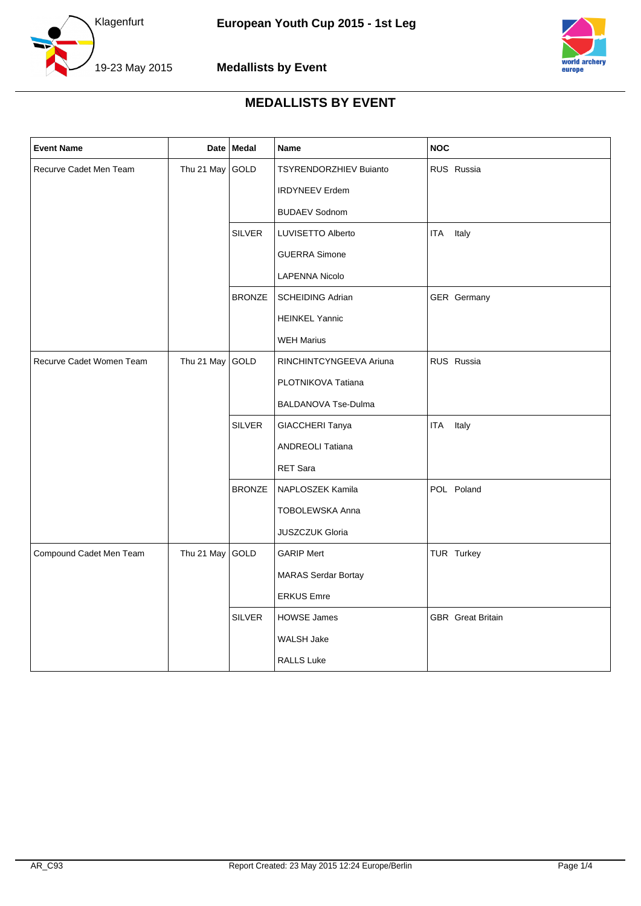



| <b>Event Name</b>        |            | Date Medal    | Name                          | <b>NOC</b>               |
|--------------------------|------------|---------------|-------------------------------|--------------------------|
| Recurve Cadet Men Team   | Thu 21 May | GOLD          | <b>TSYRENDORZHIEV Buianto</b> | RUS Russia               |
|                          |            |               | <b>IRDYNEEV Erdem</b>         |                          |
|                          |            |               | <b>BUDAEV Sodnom</b>          |                          |
|                          |            | SILVER        | LUVISETTO Alberto             | <b>ITA</b><br>Italy      |
|                          |            |               | <b>GUERRA Simone</b>          |                          |
|                          |            |               | <b>LAPENNA Nicolo</b>         |                          |
|                          |            | <b>BRONZE</b> | <b>SCHEIDING Adrian</b>       | GER Germany              |
|                          |            |               | <b>HEINKEL Yannic</b>         |                          |
|                          |            |               | <b>WEH Marius</b>             |                          |
| Recurve Cadet Women Team | Thu 21 May | GOLD          | RINCHINTCYNGEEVA Ariuna       | RUS Russia               |
|                          |            |               | PLOTNIKOVA Tatiana            |                          |
|                          |            |               | BALDANOVA Tse-Dulma           |                          |
|                          |            | <b>SILVER</b> | GIACCHERI Tanya               | Italy<br>ITA             |
|                          |            |               | <b>ANDREOLI Tatiana</b>       |                          |
|                          |            |               | RET Sara                      |                          |
|                          |            | <b>BRONZE</b> | NAPLOSZEK Kamila              | POL Poland               |
|                          |            |               | TOBOLEWSKA Anna               |                          |
|                          |            |               | <b>JUSZCZUK Gloria</b>        |                          |
| Compound Cadet Men Team  | Thu 21 May | GOLD          | <b>GARIP Mert</b>             | TUR Turkey               |
|                          |            |               | <b>MARAS Serdar Bortay</b>    |                          |
|                          |            |               | <b>ERKUS Emre</b>             |                          |
|                          |            | <b>SILVER</b> | <b>HOWSE James</b>            | <b>GBR</b> Great Britain |
|                          |            |               | <b>WALSH Jake</b>             |                          |
|                          |            |               | <b>RALLS Luke</b>             |                          |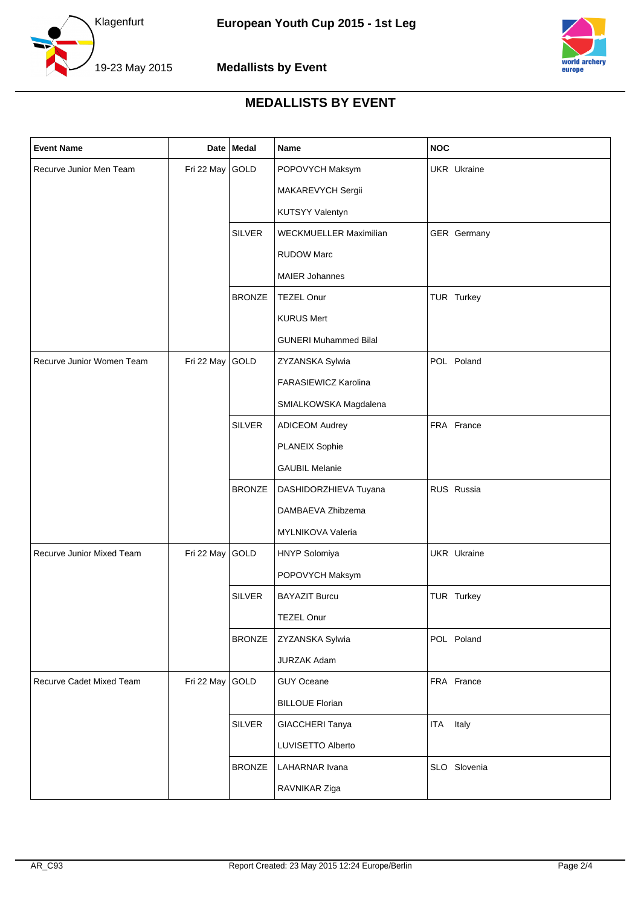



| <b>Event Name</b>         |                 | Date   Medal  | Name                         | <b>NOC</b>          |
|---------------------------|-----------------|---------------|------------------------------|---------------------|
| Recurve Junior Men Team   | Fri 22 May GOLD |               | POPOVYCH Maksym              | UKR Ukraine         |
|                           |                 |               | MAKAREVYCH Sergii            |                     |
|                           |                 |               | KUTSYY Valentyn              |                     |
|                           |                 | <b>SILVER</b> | WECKMUELLER Maximilian       | GER Germany         |
|                           |                 |               | <b>RUDOW Marc</b>            |                     |
|                           |                 |               | <b>MAIER Johannes</b>        |                     |
|                           |                 | <b>BRONZE</b> | <b>TEZEL Onur</b>            | TUR Turkey          |
|                           |                 |               | <b>KURUS Mert</b>            |                     |
|                           |                 |               | <b>GUNERI Muhammed Bilal</b> |                     |
| Recurve Junior Women Team | Fri 22 May GOLD |               | ZYZANSKA Sylwia              | POL Poland          |
|                           |                 |               | FARASIEWICZ Karolina         |                     |
|                           |                 |               | SMIALKOWSKA Magdalena        |                     |
|                           |                 | <b>SILVER</b> | <b>ADICEOM Audrey</b>        | FRA France          |
|                           |                 |               | <b>PLANEIX Sophie</b>        |                     |
|                           |                 |               | <b>GAUBIL Melanie</b>        |                     |
|                           |                 | <b>BRONZE</b> | DASHIDORZHIEVA Tuyana        | RUS Russia          |
|                           |                 |               | DAMBAEVA Zhibzema            |                     |
|                           |                 |               | MYLNIKOVA Valeria            |                     |
| Recurve Junior Mixed Team | Fri 22 May GOLD |               | HNYP Solomiya                | <b>UKR</b> Ukraine  |
|                           |                 |               | POPOVYCH Maksym              |                     |
|                           |                 | <b>SILVER</b> | <b>BAYAZIT Burcu</b>         | TUR Turkey          |
|                           |                 |               | TEZEL Onur                   |                     |
|                           |                 | <b>BRONZE</b> | ZYZANSKA Sylwia              | POL Poland          |
|                           |                 |               | <b>JURZAK Adam</b>           |                     |
| Recurve Cadet Mixed Team  | Fri 22 May GOLD |               | GUY Oceane                   | FRA France          |
|                           |                 |               | <b>BILLOUE Florian</b>       |                     |
|                           |                 | <b>SILVER</b> | GIACCHERI Tanya              | Italy<br><b>ITA</b> |
|                           |                 |               | LUVISETTO Alberto            |                     |
|                           |                 | <b>BRONZE</b> | LAHARNAR Ivana               | SLO Slovenia        |
|                           |                 |               | RAVNIKAR Ziga                |                     |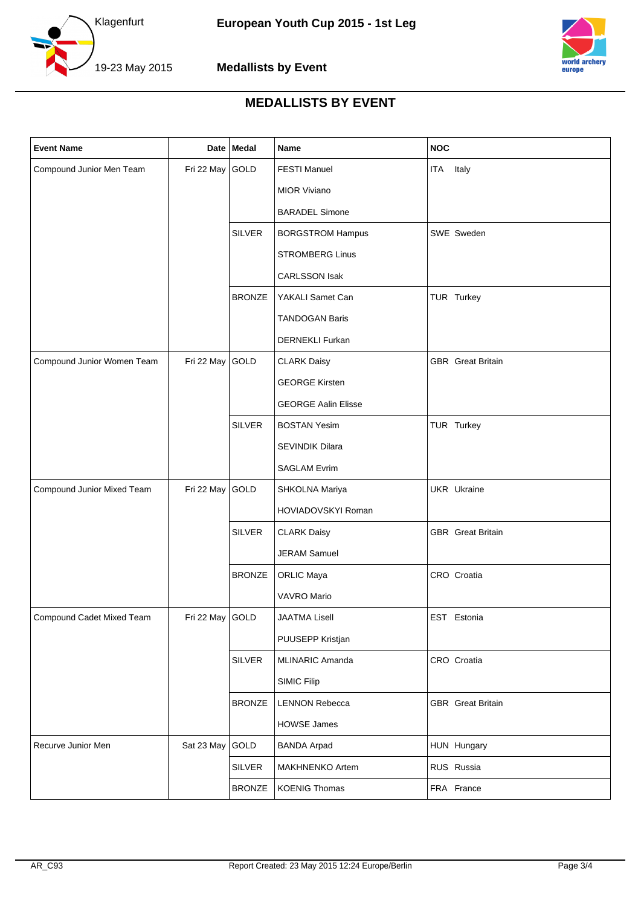



| <b>Event Name</b>          |                 | Date Medal    | Name                       | <b>NOC</b>               |
|----------------------------|-----------------|---------------|----------------------------|--------------------------|
| Compound Junior Men Team   | Fri 22 May      | GOLD          | <b>FESTI Manuel</b>        | ITA<br>Italy             |
|                            |                 |               | <b>MIOR Viviano</b>        |                          |
|                            |                 |               | <b>BARADEL Simone</b>      |                          |
|                            |                 | <b>SILVER</b> | <b>BORGSTROM Hampus</b>    | SWE Sweden               |
|                            |                 |               | <b>STROMBERG Linus</b>     |                          |
|                            |                 |               | <b>CARLSSON Isak</b>       |                          |
|                            |                 | <b>BRONZE</b> | YAKALI Samet Can           | TUR Turkey               |
|                            |                 |               | <b>TANDOGAN Baris</b>      |                          |
|                            |                 |               | DERNEKLI Furkan            |                          |
| Compound Junior Women Team | Fri 22 May      | GOLD          | <b>CLARK Daisy</b>         | <b>GBR</b> Great Britain |
|                            |                 |               | <b>GEORGE Kirsten</b>      |                          |
|                            |                 |               | <b>GEORGE Aalin Elisse</b> |                          |
|                            |                 | <b>SILVER</b> | <b>BOSTAN Yesim</b>        | TUR Turkey               |
|                            |                 |               | SEVINDIK Dilara            |                          |
|                            |                 |               | <b>SAGLAM Evrim</b>        |                          |
| Compound Junior Mixed Team | Fri 22 May      | GOLD          | SHKOLNA Mariya             | <b>UKR</b> Ukraine       |
|                            |                 |               | HOVIADOVSKYI Roman         |                          |
|                            |                 | <b>SILVER</b> | <b>CLARK Daisy</b>         | <b>GBR</b> Great Britain |
|                            |                 |               | <b>JERAM Samuel</b>        |                          |
|                            |                 | <b>BRONZE</b> | <b>ORLIC Maya</b>          | CRO Croatia              |
|                            |                 |               | VAVRO Mario                |                          |
| Compound Cadet Mixed Team  | Fri 22 May GOLD |               | <b>JAATMA Lisell</b>       | EST Estonia              |
|                            |                 |               | PUUSEPP Kristjan           |                          |
|                            |                 | <b>SILVER</b> | MLINARIC Amanda            | CRO Croatia              |
|                            |                 |               | <b>SIMIC Filip</b>         |                          |
|                            |                 | <b>BRONZE</b> | <b>LENNON Rebecca</b>      | <b>GBR</b> Great Britain |
|                            |                 |               | <b>HOWSE James</b>         |                          |
| Recurve Junior Men         | Sat 23 May      | GOLD          | <b>BANDA Arpad</b>         | HUN Hungary              |
|                            |                 | <b>SILVER</b> | MAKHNENKO Artem            | RUS Russia               |
|                            |                 | <b>BRONZE</b> | <b>KOENIG Thomas</b>       | FRA France               |